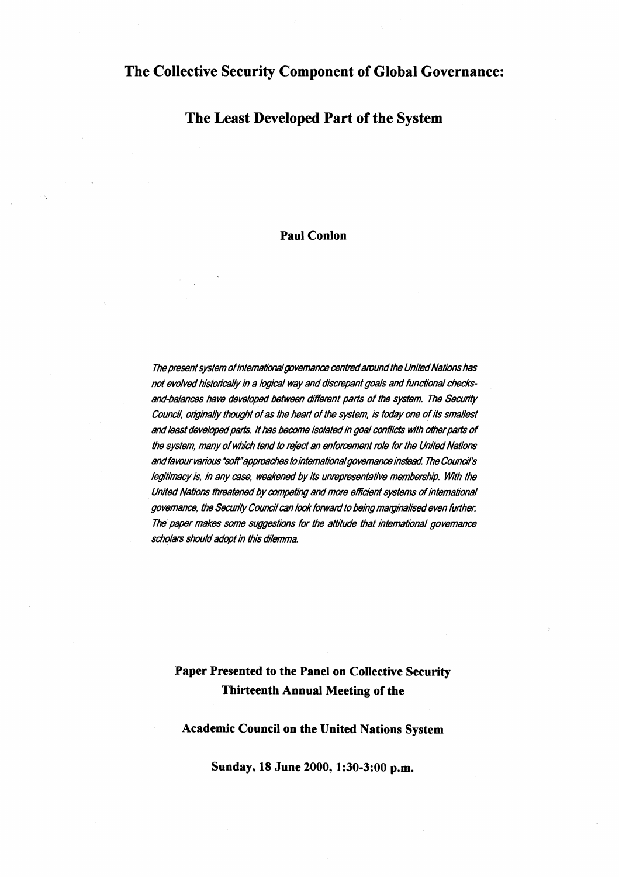## **The Collective Security Component of Global Governance:**

## **The Least Developed Part of the System**

## **Paul Conlon**

The present system of international governance centred around the United Nations has not evolved historically in a logical way and discrepant goals and functional checksand-balances have developed between different parts of the system. The Security Council, originally thought of as the heart of the system, is today one of its smallest and least developed parts. It has become isolated in goal conflicts with other parts of the system, many of which tend to reject an enforcement mle for the United Nations and favour various "soft" approaches to international governance instead. The Council's legitimacy is, in any case, weakened by its unrepresentative membership. With the United Nations threatened by competing and more efficient systems of international governance, the Security Council can look forward to being marginalised even further. The paper makes some suggestions for the attitude that international governance scholars should adopt in this dilemma.

# **Paper Presented to the Panel on Collective Security Thirteenth Annual Meeting of the**

#### **Academic Council on the United Nations System**

**Sunday, 18 June 2000,1:30-3:00 p.m.**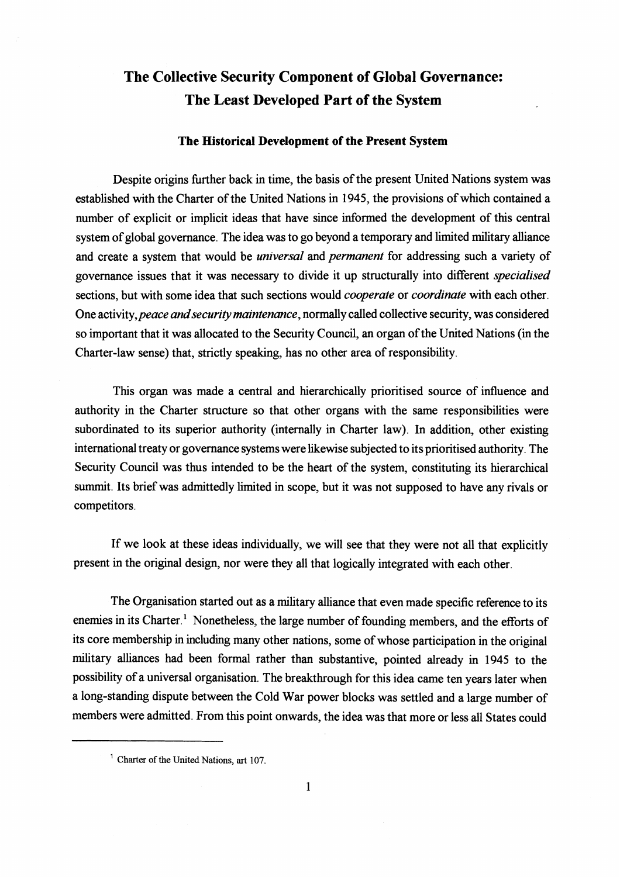# **The Collective Security Component of Global Governance: The Least Developed Part of the System**

#### **The Historical Development of the Present System**

Despite origins further back in time, the basis of the present United Nations system was established with the Charter of the United Nations in **1945,** the provisions of which contained a number of explicit or implicit ideas that have since informed the development of this central system of global governance. The idea was to go beyond a temporary and limited military alliance and create a system that would be *universal* and *permanent* for addressing such a variety of governance issues that it was necessary to divide it up structurally into different specialised sections, but with some idea that such sections would *cooperate* or *coordinate* with each other. One activity, peace and security maintenance, normally called collective security, was considered so important that it was allocated to the Security Council, an organ of the United Nations (in the Charter-law sense) that, strictly speaking, has no other area of responsibility.

This organ was made a central and hierarchically prioritised source of influence and authority in the Charter structure so that other organs with the same responsibilities were subordinated to its superior authority (internally in Charter law). In addition, other existing international treaty or governance systems were likewise subjected to its prioritised authority. The Security Council was thus intended to be the heart of the system, constituting its hierarchical summit. Its brief was admittedly limited in scope, but it was not supposed to have any rivals or competitors.

If we look at these ideas individually, we will see that they were not all that explicitly present in the original design, nor were they all that logically integrated with each other.

The Organisation started out as a military alliance that even made specific reference to its enemies in its Charter.' Nonetheless, the large number of founding members, and the efforts of its core membership in including many other nations, some of whose participation in the original military alliances had been formal rather than substantive, pointed already in **1945** to the possibility of a universal organisation. The breakthrough for this idea came ten years later when a long-standing dispute between the Cold War power blocks was settled and a large number of members were admitted. From this point onwards, the idea was that more or less all States could  $t$  ween the rom this  $\mu$ 

<sup>&#</sup>x27; **Charter** of **the United Nations,** art <sup>107</sup>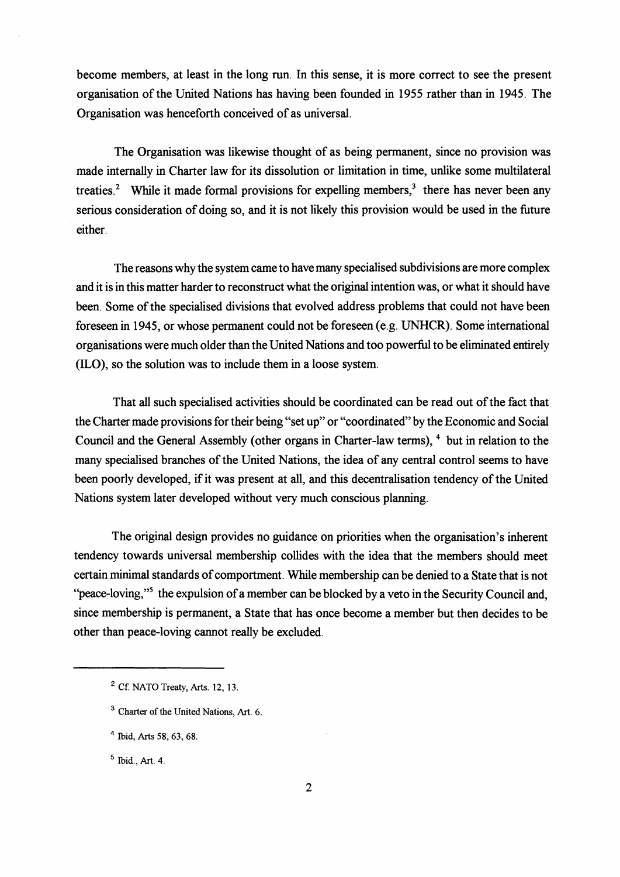become members, at least in the long run. In this sense, it is more correct to see the present organisation of the United Nations has having been founded in 1955 rather than in 1945. The Organisation was henceforth conceived of as universal.

The Organisation was likewise thought of as being permanent, since no provision was made internally in Charter law for its dissolution or limitation in time, unlike some multilateral treaties.<sup>2</sup> While it made formal provisions for expelling members,<sup>3</sup> there has never been any serious consideration of doing so, and it is not likely this provision would be used in the future either.

The reasons why the system came to have many specialised subdivisions are more complex and it is in this matter harder to reconstruct what the original intention was, or what it should have been. Some of the specialised divisions that evolved address problems that could not have been foreseen in 1945, or whose permanent could not be foreseen (e.g. UNHCR). Some international organisations were much older than the United Nations and too powerful to be eliminated entirely (ILO), so the solution was to include them in a loose system.

That all such specialised activities should be coordinated can be read out of the fact that the Charter made provisions for their being "set up" or "coordinated" by the Economic and Social Council and the General Assembly (other organs in Charter-law terms), <sup>4</sup> but in relation to the many specialised branches of the United Nations, the idea of any central control seems to have been poorly developed, if it was present at all, and this decentralisation tendency of the United Nations system later developed without very much conscious planning.

The original design provides no guidance on priorities when the organisation's inherent tendency towards universal membership collides with the idea that the members should meet certain minimal standards of comportment. While membership can be denied to a State that is not "peace-loving,"<sup>5</sup> the expulsion of a member can be blocked by a veto in the Security Council and, since membership is permanent, a State that has once become a member but then decides to be other than peace-loving cannot really be excluded. ment, a s<br>nnot real<br>——

Ibid., **Art.** 4.

**Cf. NATO Treaty, Arts. 12, 13.** 

<sup>&</sup>lt;sup>3</sup> Charter of the United Nations, Art. 6.

**Ibid, Arts 58,63,68.**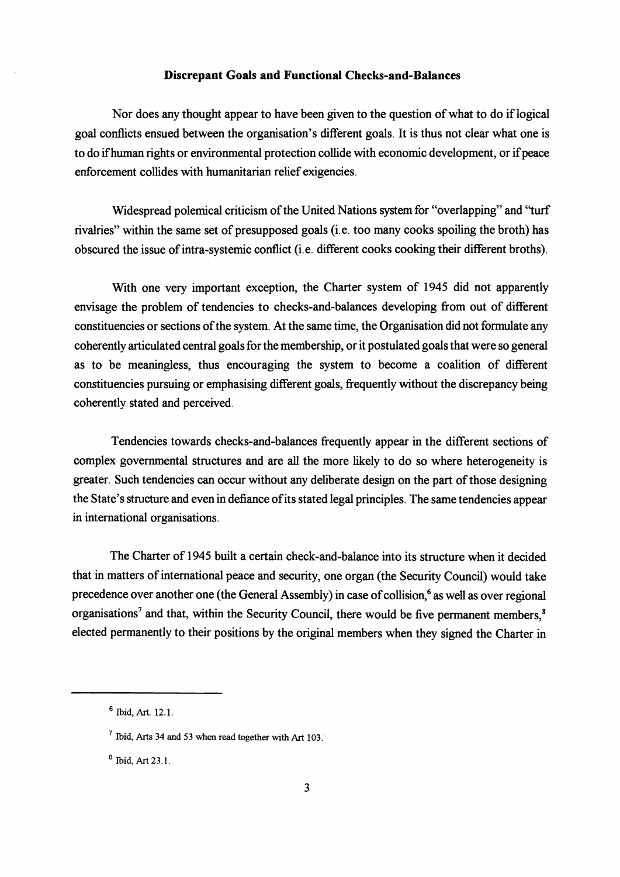#### **Discrepant Goals and Functional Checks-and-Balances**

Nor does any thought appear to have been given to the question of what to do if logical goal conflicts ensued between the organisation's different goals. It is thus not clear what one is to do ifhuman rights or environmental protection collide with economic development, or if peace enforcement collides with humanitarian relief exigencies.

Widespread polemical criticism of the United Nations system for "overlapping" and "turf rivalries" within the same set of presupposed goals (i.e. too many cooks spoiling the broth) has obscured the issue of intra-systemic conflict (i.e. different cooks cooking their different broths).

With one very important exception, the Charter system of **1945** did not apparently envisage the problem of tendencies to checks-and-balances developing from out of different constituencies or sections of the system. At the same time, the Organisation did not formulate any coherently articulated central goals for the membership, or it postulated goals that were so general as to be meaningless, thus encouraging the system to become a coalition of different constituencies pursuing or emphasising different goals, frequently without the discrepancy being coherently stated and perceived.

Tendencies towards checks-and-balances frequently appear in the different sections of complex governmental structures and are all the more likely to do so where heterogeneity is greater. Such tendencies can occur without any deliberate design on the part of those designing the State's structure and even in defiance of its stated legal principles. The same tendencies appear in international organisations.

The Charter of **1945** built a certain check-and-balance into its structure when it decided that in matters of international peace and security, one organ (the Security Council) would take precedence over another one (the General Assembly) in case of collision,<sup>6</sup> as well as over regional organisations<sup>7</sup> and that, within the Security Council, there would be five permanent members,<sup>8</sup> elected permanently to their positions by the original members when they signed the Charter in

 $6$  Ibid, Art. 12.1.

<sup>&#</sup>x27; **Ibid, Arts 34 and 53** when **read together with Art 103.** 

 $B$  Ibid, Art 23.1.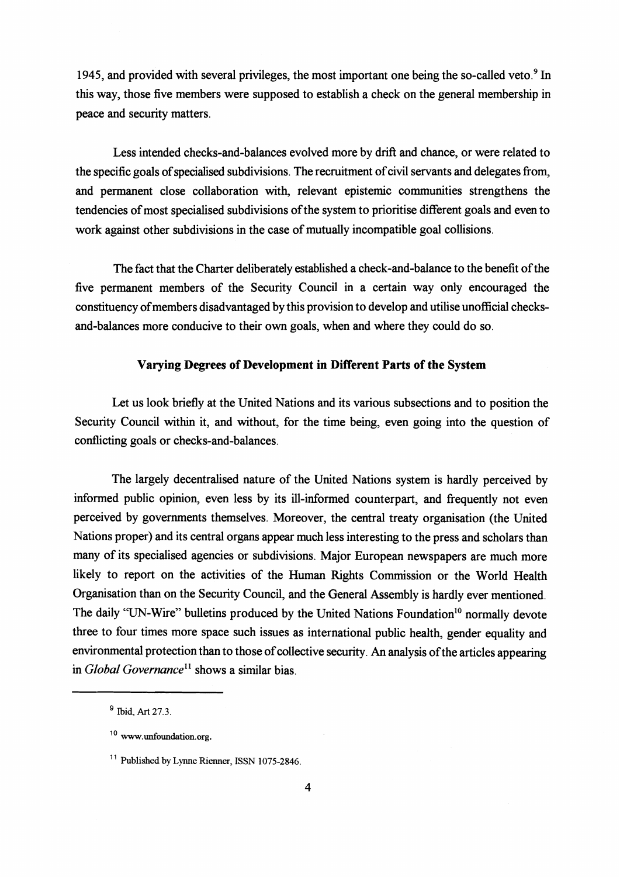1945, and provided with several privileges, the most important one being the so-called veto.<sup>9</sup> In this way, those five members were supposed to establish a check on the general membership in peace and security matters.

Less intended checks-and-balances evolved more by drift and chance, or were related to the specific goals of specialised subdivisions. The recruitment of civil servants and delegates from, and permanent close collaboration with, relevant epistemic communities strengthens the tendencies of most specialised subdivisions of the system to prioritise different goals and even to work against other subdivisions in the case of mutually incompatible goal collisions.

The fact that the Charter deliberately established a check-and-balance to the benefit of the five permanent members of the Security Council in a certain way only encouraged the constituency of members disadvantaged by this provision to develop and utilise unofficial checksand-balances more conducive to their own goals, when and where they could do so.

#### **Varying Degrees of Development in Different Parts of the System**

Let us look briefly at the United Nations and its various subsections and to position the Security Council within it, and without, for the time being, even going into the question of conflicting goals or checks-and-balances.

The largely decentralised nature of the United Nations system is hardly perceived by informed public opinion, even less by its ill-informed counterpart, and frequently not even perceived by governments themselves. Moreover, the central treaty organisation (the United Nations proper) and its central organs appear much less interesting to the press and scholars than many of its specialised agencies or subdivisions. Major European newspapers are much more likely to report on the activities of the Human Rights Commission or the World Health Organisation than on the Security Council, and the General Assembly is hardly ever mentioned. The daily "UN-Wire" bulletins produced by the United Nations Foundation<sup>10</sup> normally devote three to four times more space such issues as international public health, gender equality and environmental protection than to those of collective security. An analysis of the articles appearing in *Global Governance*<sup>11</sup> shows a similar bias.

Ibid, Art **27.3.** 

<sup>&</sup>lt;sup>10</sup> www.unfoundation.org.

<sup>&</sup>lt;sup>11</sup> Published by Lynne Rienner, ISSN 1075-2846.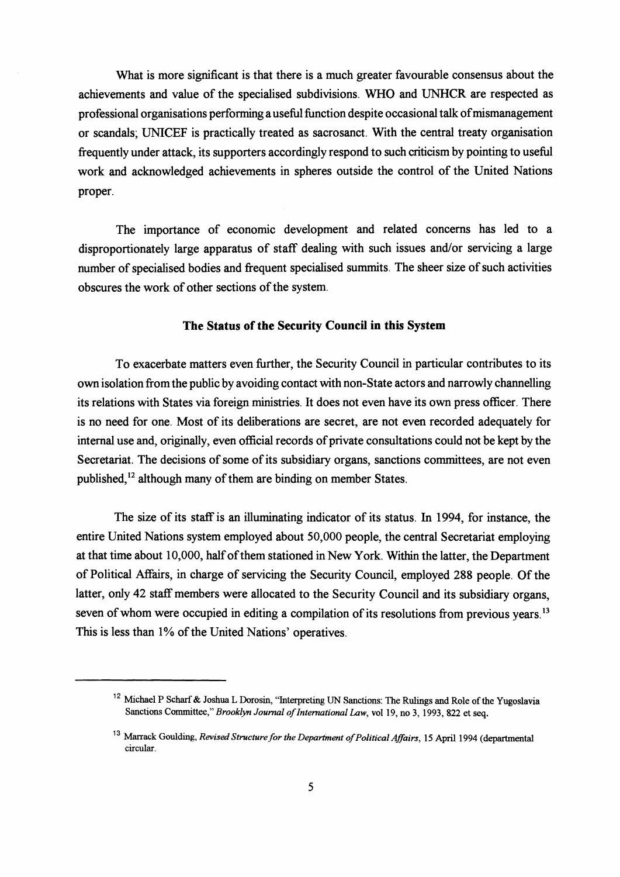What is more significant is that there is a much greater favourable consensus about the achievements and value of the specialised subdivisions. WHO and **UNHCR** are respected as professional organisations performing a useful function despite occasional talk of mismanagement or scandals; UNICEF is practically treated as sacrosanct. With the central treaty organisation frequently under attack, its supporters accordingly respond to such criticism by pointing to usehl work and acknowledged achievements in spheres outside the control of the United Nations proper.

The importance of economic development and related concerns has led to a disproportionately large apparatus of staff dealing with such issues and/or servicing a large number of specialised bodies and frequent specialised summits. The sheer size of such activities obscures the work of other sections of the system.

### **The Status of the Security Council in this System**

To exacerbate matters even hrther, the Security Council in particular contributes to its own isolation from the public by avoiding contact with non-State actors and narrowly channelling its relations with States via foreign ministries. It does not even have its own press officer. There is no need for one. Most of its deliberations are secret, are not even recorded adequately for internal use and, originally, even official records of private consultations could not be kept by the Secretariat. The decisions of some of its subsidiary organs, sanctions committees, are not even published,<sup>12</sup> although many of them are binding on member States.

The size of its staff is an illuminating indicator of its status. In 1994, for instance, the entire United Nations system employed about 50,000 people, the central Secretariat employing at that time about 10,000, half of them stationed in New York. Within the latter, the Department of Political Mairs, in charge of servicing the Security Council, employed 288 people. Of the latter, only 42 staff members were allocated to the Security Council and its subsidiary organs, seven of whom were occupied in editing a compilation of its resolutions from previous years.<sup>13</sup> This is less than 1% of the United Nations' operatives.

<sup>&</sup>lt;sup>12</sup> Michael P Scharf & Joshua L Dorosin, "Interpreting UN Sanctions: The Rulings and Role of the Yugoslavia Sanctions Committee," *Brooklyn Journal of International* **Law,** vol 19, no 3, 1993, 822 et **seq.** 

**l3** Marrack **Goulding,** *Revised Structure* **for** *the Deparhnent* **of** *Political Aflairs, 15* April 1994 (departmental circular.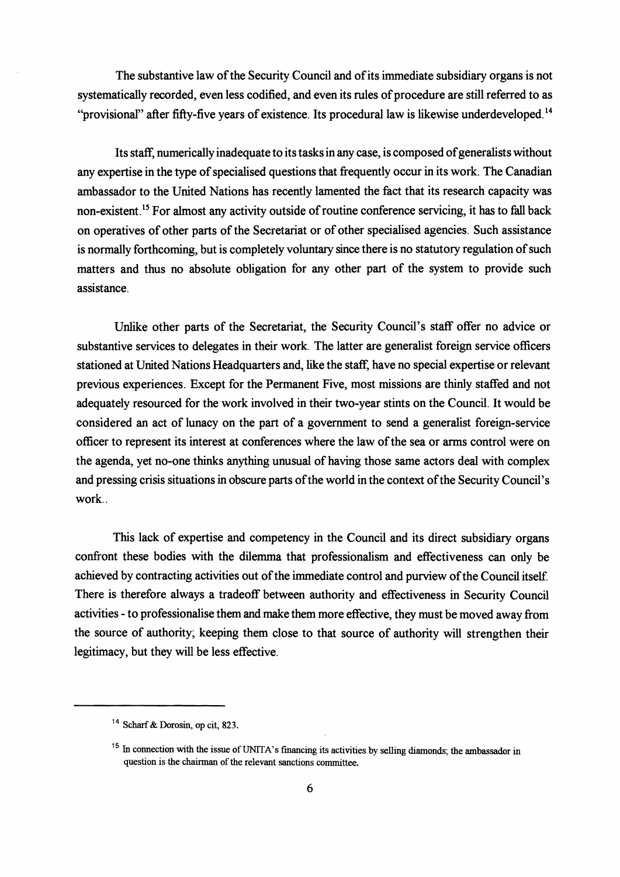The substantive law of the Security Council and of its immediate subsidiary organs is not systematically recorded, even less codified, and even its rules of procedure are still referred to as "provisional" after fifty-five years of existence. Its procedural law is likewise underdeveloped.<sup>14</sup>

Its staff, numerically inadequate to its tasks in any case, is composed of generalists without any expertise in the type of specialised questions that fiequently occur in its work. The Canadian ambassador to the United Nations has recently lamented the fact that its research capacity was non-existent.<sup>15</sup> For almost any activity outside of routine conference servicing, it has to fall back on operatives of other parts of the Secretariat or of other specialised agencies. Such assistance is normally forthcoming, but is completely voluntary since there is no statutory regulation of such matters and thus no absolute obligation for any other part of the system to provide such assistance.

Unlike other parts of the Secretariat, the Security Council's staff offer no advice or substantive services to delegates in their work. The latter are generalist foreign service officers stationed at United Nations Headquarters and, like the staff, have no special expertise or relevant previous experiences. Except for the Permanent Five, most missions are thinly staffed and not adequately resourced for the work involved in their two-year stints on the Council. It would be considered an act of lunacy on the part of a government to send a generalist foreign-service officer to represent its interest at conferences where the law of the sea or arms control were on the agenda, yet no-one thinks anything unusual of having those same actors deal with complex and pressing crisis situations in obscure parts of the world in the context of the Security Council's work..

This lack of expertise and competency in the Council and its direct subsidiary organs confront these bodies with the dilemma that professionalism and effectiveness can only be achieved by contracting activities out of the immediate control and purview of the Council itself. There is therefore always a tradeoff between authority and effectiveness in Security Council activities - to professionalise them and make them more effective, they must be moved away from the source of authority; keeping them close to that source of authority will strengthen their legitimacy, but they will be less effective.

<sup>&</sup>lt;sup>14</sup> Scharf & Dorosin, op cit, 823.

<sup>&</sup>lt;sup>15</sup> In connection with the issue of UNITA's financing its activities by selling diamonds; the ambassador in question is the chairman of the relevant sanctions committee.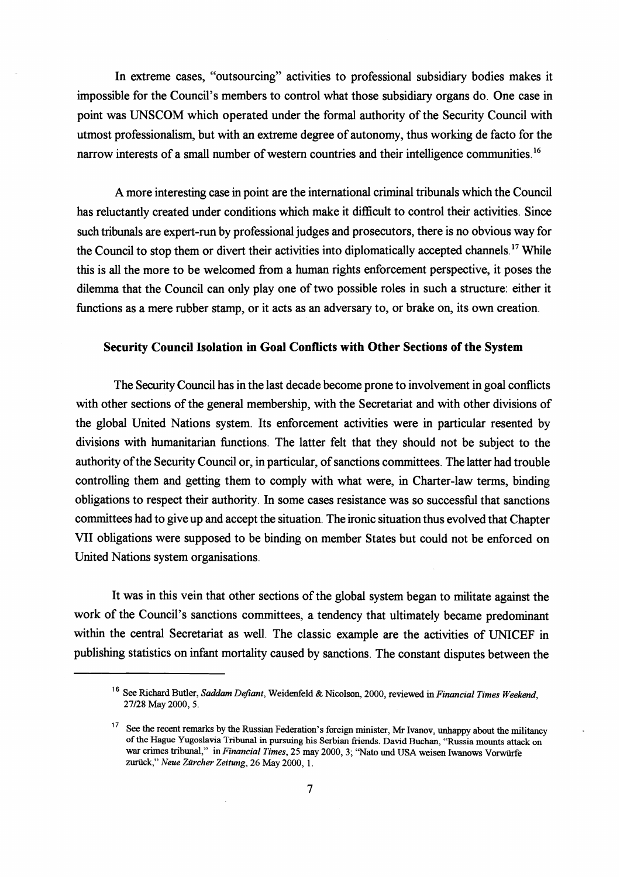In extreme cases, "outsourcing" activities to professional subsidiary bodies makes it impossible for the Council's members to control what those subsidiary organs do. One case in point was UNSCOM which operated under the formal authority of the Security Council with utmost professionalism, but with an extreme degree of autonomy, thus working de facto for the narrow interests of a small number of western countries and their intelligence communities.<sup>16</sup>

A more interesting case in point are the international criminal tribunals which the Council has reluctantly created under conditions which make it difficult to control their activities. Since such tribunals are expert-run by professional judges and prosecutors, there is no obvious way for the Council to stop them or divert their activities into diplomatically accepted channels. **l7** While this is all the more to be welcomed fiom a human rights enforcement perspective, it poses the dilemma that the Council can only play one of two possible roles in such a structure: either it functions as a mere rubber stamp, or it acts as an adversary to, or brake on, its own creation.

#### **Security Council Isolation in Goal Conflicts with Other Sections of the System**

The Security Council has in the last decade become prone to involvement in goal conflicts with other sections of the general membership, with the Secretariat and with other divisions of the global United Nations system. Its enforcement activities were in particular resented by divisions with humanitarian functions. The latter felt that they should not be subject to the authority of the Security Council or, in particular, of sanctions committees. The latter had trouble controlling them and getting them to comply with what were, in Charter-law terms, binding obligations to respect their authority. In some cases resistance was so successful that sanctions committees had to give up and accept the situation. The ironic situation thus evolved that Chapter VII obligations were supposed to be binding on member States but could not be enforced on United Nations system organisations.

It was in this vein that other sections of the global system began to militate against the work of the Council's sanctions committees, a tendency that ultimately became predominant within the central Secretariat as well. The classic example are the activities of UNICEF in publishing statistics on infant mortality caused by sanctions. The constant disputes between the

<sup>&</sup>lt;sup>16</sup> See Richard Butler, *Saddam Defiant*, Weidenfeld & Nicolson, 2000, reviewed in *Financial Times Weekend*, **27/28** May **2000, 5.** 

<sup>&</sup>lt;sup>17</sup> See the recent remarks by the Russian Federation's foreign minister, Mr Ivanov, unhappy about the militancy of the Hague Yugoslavia Tribunal in pursuing his Serbian friends. David Buchan, "Russia mounts attack on war crimes tribunal," in *Financial Times*, 25 may 2000, 3; "Nato und USA weisen Iwanows Vorwürfe zuriick," *Neue Ziircher Zeztung,* **26** May **2000, 1.**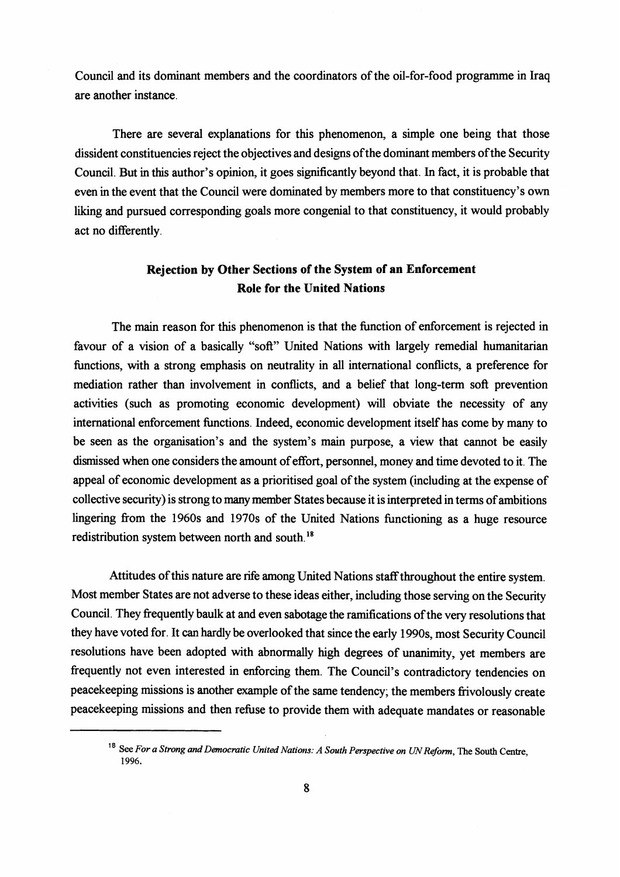Council and its dominant members and the coordinators of the oil-for-food programme in Iraq are another instance.

There are several explanations for this phenomenon, a simple one being that those dissident constituencies reject the objectives and designs of the dominant members ofthe Security Council. But in this author's opinion, it goes significantly beyond that. In fact, it is probable that even in the event that the Council were dominated by members more to that constituency's own liking and pursued corresponding goals more congenial to that constituency, it would probably act no differently.

# **Rejection by Other Sections of the System of an Enforcement Role for the United Nations**

The main reason for this phenomenon is that the function of enforcement is rejected in favour of a vision of a basically "soft" United Nations with largely remedial humanitarian functions, with a strong emphasis on neutrality in all international conflicts, a preference for mediation rather than involvement in conflicts, and a belief that long-term soft prevention activities (such as promoting economic development) will obviate the necessity of any international enforcement functions. Indeed, economic development itself has come by many to be seen as the organisation's and the system's main purpose, a view that cannot be easily dismissed when one considers the amount of effort, personnel, money and time devoted to it. The appeal of economic development as a prioritised goal of the system (including at the expense of collective security) is strong to many member States because it is interpreted in terms of ambitions lingering from the 1960s and 1970s of the United Nations functioning as a huge resource redistribution system between north and south.<sup>18</sup>

Attitudes of this nature are rife among United Nations staffthroughout the entire system. Most member States are not adverse to these ideas either, including those serving on the Security Council. They frequently baulk at and even sabotage the ramifications of the very resolutions that they have voted for. It can hardly be overlooked that since the early 1990s, most Security Council resolutions have been adopted with abnormally high degrees of unanimity, yet members are frequently not even interested in enforcing them. The Council's contradictory tendencies on peacekeeping missions is another example of the same tendency; the members frivolously create peacekeeping missions and then refuse to provide them with adequate mandates or reasonable

<sup>&</sup>lt;sup>18</sup> See For a Strong and Democratic United Nations: A South Perspective on UN Reform, The South Centre, **1996.**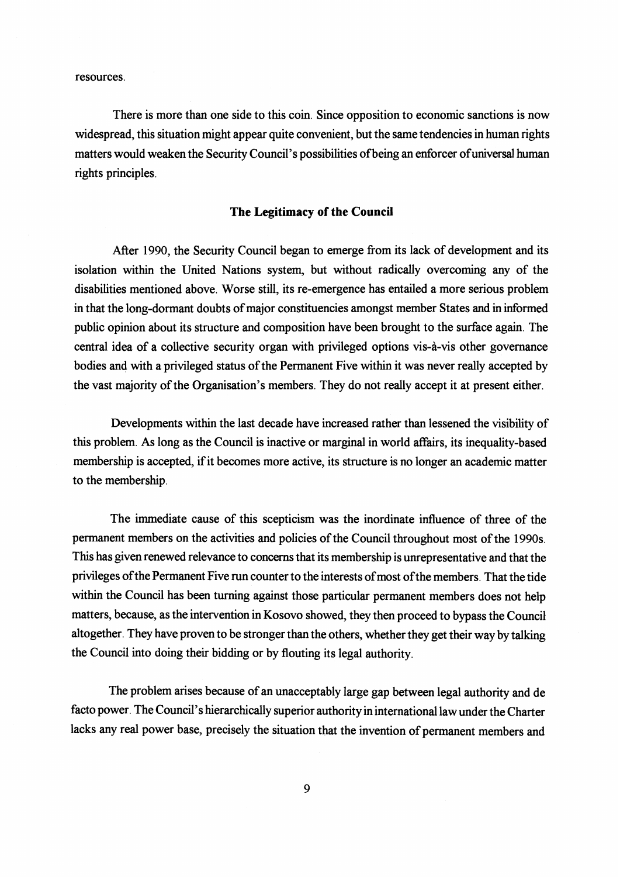resources.

There is more than one side to this coin. Since opposition to economic sanctions is now widespread, this situation might appear quite convenient, but the same tendencies in human rights matters would weaken the Security Council's possibilities ofbeing an enforcer of universal human rights principles.

#### **The Legitimacy of the Council**

After 1990, the Security Council began to emerge from its lack of development and its isolation within the United Nations system, but without radically overcoming any of the disabilities mentioned above. Worse still, its re-emergence has entailed a more serious problem in that the long-dormant doubts of major constituencies amongst member States and in informed public opinion about its structure and composition have been brought to the surface again. The central idea of a collective security organ with privileged options vis-a-vis other governance bodies and with a privileged status of the Permanent Five within it was never really accepted by the vast majority of the Organisation's members. They do not really accept it at present either.

Developments within the last decade have increased rather than lessened the visibility of this problem. As long as the Council is inactive or marginal in world affairs, its inequality-based membership is accepted, if it becomes more active, its structure is no longer an academic matter to the membership.

The immediate cause of this scepticism was the inordinate influence of three of the permanent members on the activities and policies of the Council throughout most of the 1990s. This has given renewed relevance to concerns that its membership is unrepresentative and that the privileges of the Permanent Five run counter to the interests of most ofthe members. That the tide within the Council has been turning against those particular permanent members does not help matters, because, as the intervention in Kosovo showed, they then proceed to bypass the Council altogether. They have proven to be stronger than the others, whether they get their way by talking the Council into doing their bidding or by flouting its legal authority.

The problem arises because of an unacceptably large gap between legal authority and de facto power. The Council's hierarchically superior authority in international law under the Charter lacks any real power base, precisely the situation that the invention of permanent members and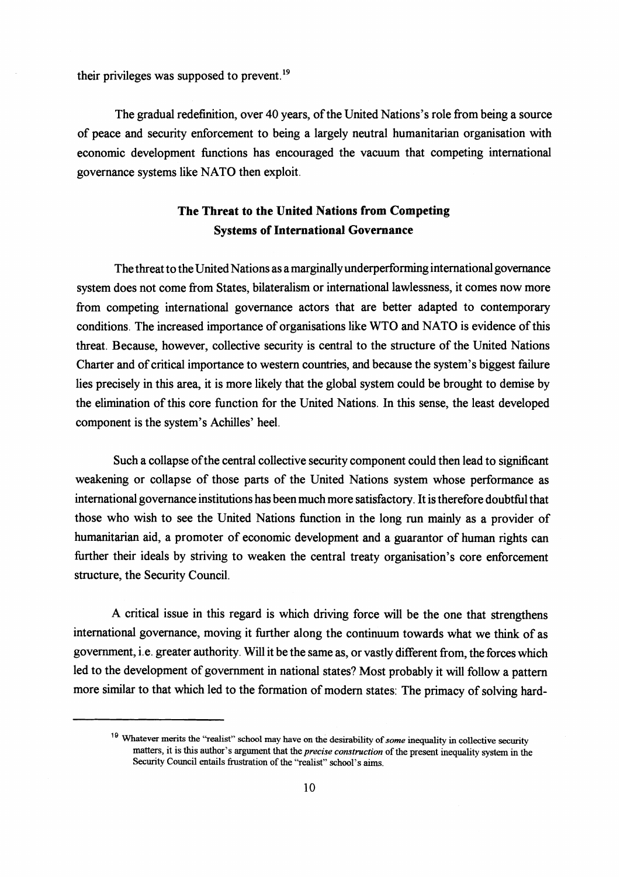their privileges was supposed to prevent.<sup>19</sup>

The gradual redefinition, over 40 years, of the United Nations's role from being a source of peace and security enforcement to being a largely neutral humanitarian organisation with economic development functions has encouraged the vacuum that competing international governance systems like NATO then exploit.

# **The Threat to the United Nations from Competing Systems of International Governance**

The threat to the United Nations as a marginally underperforming international governance system does not come fiom States, bilateralism or international lawlessness, it comes now more from competing international governance actors that are better adapted to contemporary conditions. The increased importance of organisations like WTO and NATO is evidence of this threat. Because, however, collective security is central to the structure of the United Nations Charter and of critical importance to western countries, and because the system's biggest failure lies precisely in this area, it is more likely that the global system could be brought to demise by the elimination of this core function for the United Nations. In this sense, the least developed component is the system's Achilles' heel.

Such a collapse of the central collective security component could then lead to significant weakening or collapse of those parts of the United Nations system whose performance as international governance institutions has been much more satisfactory. It is therefore doubtful that those who wish to see the United Nations function in the long run mainly as a provider of humanitarian aid, a promoter of economic development and a guarantor of human rights can further their ideals by striving to weaken the central treaty organisation's core enforcement structure, the Security Council.

A critical issue in this regard is which driving force will be the one that strengthens international governance, moving it further along the continuum towards what we think of as government, i.e. greater authority. Will it be the same as, or vastly different fiom, the forces which led to the development of government in national states? Most probably it will follow a pattern more similar to that which led to the formation of modern states: The primacy of solving hard-

<sup>&</sup>lt;sup>19</sup> Whatever merits the "realist" school may have on the desirability of *some* inequality in collective security matters, it is this author's argument that the *precise construction* of the present inequality system in the Security Council entails frustration of the "realist" school's aims.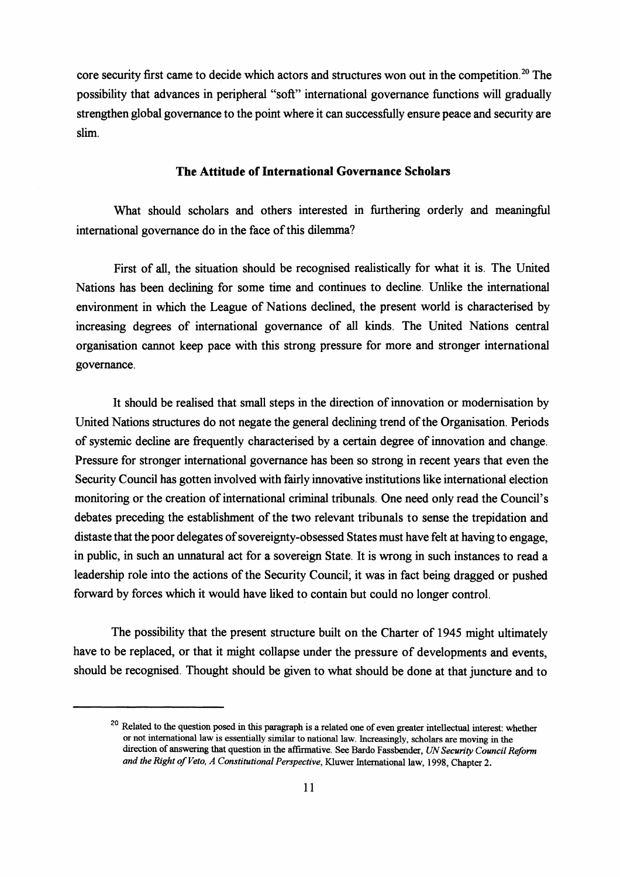core security first came to decide which actors and structures won out in the competition.<sup>20</sup> The possibility that advances in peripheral "soft" international governance functions will gradually strengthen global governance to the point where it can successfully ensure peace and security are slim.

#### **The Attitude of International Governance Scholars**

What should scholars and others interested in furthering orderly and meaningful international governance do in the face of this dilemma?

First of **all,** the situation should be recognised realistically for what it is. The United Nations has been declining for some time and continues to decline. Unlike the international environment in which the League of Nations declined, the present world is characterised by increasing degrees of international governance of all kinds. The United Nations central organisation cannot keep pace with this strong pressure for more and stronger international governance.

It should be realised that small steps in the direction of innovation or modernisation by United Nations structures do not negate the general declining trend of the Organisation. Periods of systemic decline are frequently characterised by a certain degree of innovation and change. Pressure for stronger international governance has been so strong in recent years that even the Security Council has gotten involved with fairly innovative institutions like international election monitoring or the creation of international criminal tribunals. One need only read the Council's debates preceding the establishment of the two relevant tribunals to sense the trepidation and distaste that the poor delegates of sovereignty-obsessed States must have felt at having to engage, in public, in such an unnatural act for a sovereign State. It is wrong in such instances to read a leadership role into the actions of the Security Council; it was in fact being dragged or pushed forward by forces which it would have liked to contain but could no longer control.

The possibility that the present structure built on the Charter of 1945 might ultimately have to be replaced, or that it might collapse under the pressure of developments and events, should be recognised. Thought should be given to what should be done at that juncture and to

<sup>&</sup>lt;sup>20</sup> Related to the question posed in this paragraph is a related one of even greater intellectual interest: whether or not international law is essentially similar to national law. Increasingly, scholars are moving in the direction of answering that question in the affirmative. See Bardo Fassbender, UN Security Council Reform *and the Right of Veto, A Constitutional Perspective,* Kluwer International law, 1998, Chapter 2.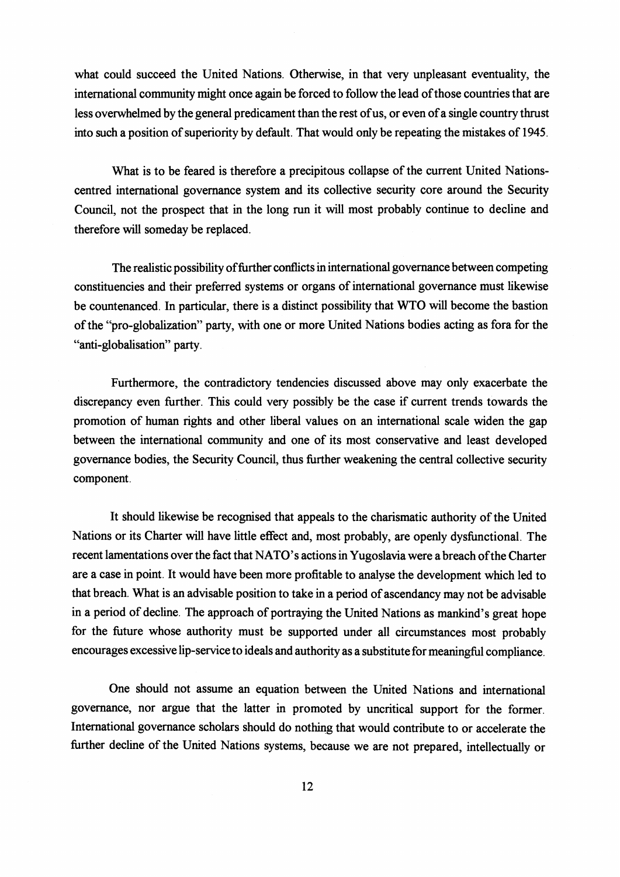what could succeed the United Nations. Otherwise, in that very unpleasant eventuality, the international community might once again be forced to follow the lead of those countries that are less ovenvhelmed by the general predicament than the rest of us, or even of a single country thrust into such a position of superiority by default. That would only be repeating the mistakes of 1945.

What is to be feared is therefore a precipitous collapse of the current United Nationscentred international governance system and its collective security core around the Security Council, not the prospect that in the long run it will most probably continue to decline and therefore will someday be replaced.

The realistic possibility of further conflicts in international governance between competing constituencies and their preferred systems or organs of international governance must likewise be countenanced. In particular, there is a distinct possibility that WTO will become the bastion of the "pro-globalization" party, with one or more United Nations bodies acting as fora for the "anti-globalisation" party.

Furthermore, the contradictory tendencies discussed above may only exacerbate the discrepancy even further. This could very possibly be the case if current trends towards the promotion of human rights and other liberal values on an international scale widen the gap between the international community and one of its most conservative and least developed governance bodies, the Security Council, thus further weakening the central collective security component.

It should likewise be recognised that appeals to the charismatic authority of the United Nations or its Charter will have little effect and, most probably, are openly dysfunctional. The recent lamentations over the fact that NATO's actions in Yugoslavia were a breach ofthe Charter are a case in point. It would have been more profitable to analyse the development which led to that breach. What is an advisable position to take in a period of ascendancy may not be advisable in a period of decline. The approach of portraying the United Nations as mankind's great hope for the future whose authority must be supported under all circumstances most probably encourages excessive lip-service to ideals and authority as a substitute for meaningful compliance.

One should not assume an equation between the United Nations and international governance, nor argue that the latter in promoted by uncritical support for the former. International governance scholars should do nothing that would contribute to or accelerate the further decline of the United Nations systems, because we are not prepared, intellectually or